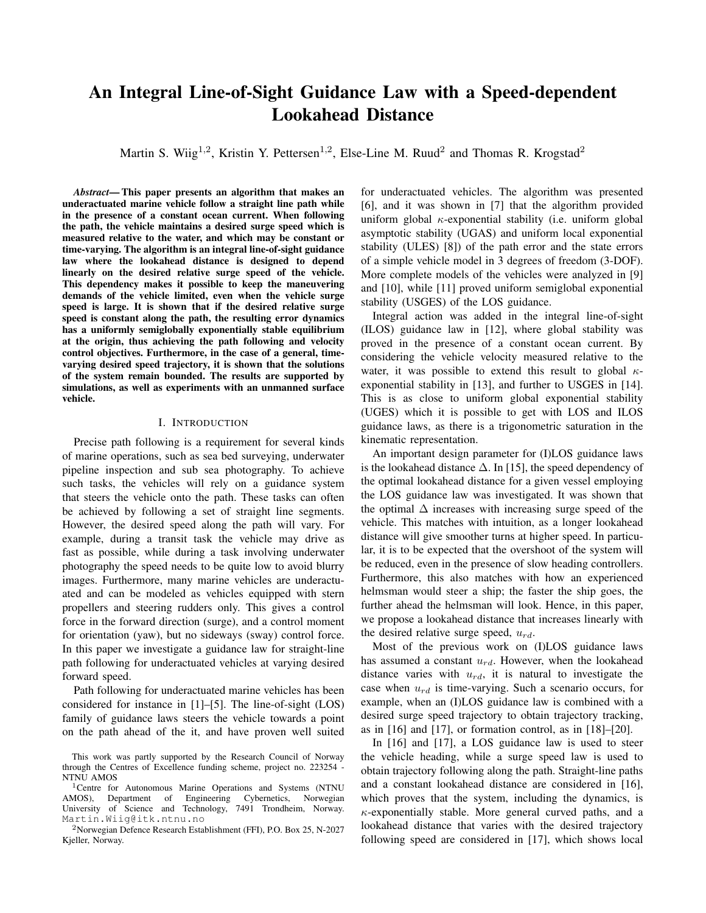# An Integral Line-of-Sight Guidance Law with a Speed-dependent Lookahead Distance

Martin S. Wiig<sup>1,2</sup>, Kristin Y. Pettersen<sup>1,2</sup>, Else-Line M. Ruud<sup>2</sup> and Thomas R. Krogstad<sup>2</sup>

*Abstract*— This paper presents an algorithm that makes an underactuated marine vehicle follow a straight line path while in the presence of a constant ocean current. When following the path, the vehicle maintains a desired surge speed which is measured relative to the water, and which may be constant or time-varying. The algorithm is an integral line-of-sight guidance law where the lookahead distance is designed to depend linearly on the desired relative surge speed of the vehicle. This dependency makes it possible to keep the maneuvering demands of the vehicle limited, even when the vehicle surge speed is large. It is shown that if the desired relative surge speed is constant along the path, the resulting error dynamics has a uniformly semiglobally exponentially stable equilibrium at the origin, thus achieving the path following and velocity control objectives. Furthermore, in the case of a general, timevarying desired speed trajectory, it is shown that the solutions of the system remain bounded. The results are supported by simulations, as well as experiments with an unmanned surface vehicle.

#### I. INTRODUCTION

Precise path following is a requirement for several kinds of marine operations, such as sea bed surveying, underwater pipeline inspection and sub sea photography. To achieve such tasks, the vehicles will rely on a guidance system that steers the vehicle onto the path. These tasks can often be achieved by following a set of straight line segments. However, the desired speed along the path will vary. For example, during a transit task the vehicle may drive as fast as possible, while during a task involving underwater photography the speed needs to be quite low to avoid blurry images. Furthermore, many marine vehicles are underactuated and can be modeled as vehicles equipped with stern propellers and steering rudders only. This gives a control force in the forward direction (surge), and a control moment for orientation (yaw), but no sideways (sway) control force. In this paper we investigate a guidance law for straight-line path following for underactuated vehicles at varying desired forward speed.

Path following for underactuated marine vehicles has been considered for instance in [1]–[5]. The line-of-sight (LOS) family of guidance laws steers the vehicle towards a point on the path ahead of the it, and have proven well suited for underactuated vehicles. The algorithm was presented [6], and it was shown in [7] that the algorithm provided uniform global  $\kappa$ -exponential stability (i.e. uniform global asymptotic stability (UGAS) and uniform local exponential stability (ULES) [8]) of the path error and the state errors of a simple vehicle model in 3 degrees of freedom (3-DOF). More complete models of the vehicles were analyzed in [9] and [10], while [11] proved uniform semiglobal exponential stability (USGES) of the LOS guidance.

Integral action was added in the integral line-of-sight (ILOS) guidance law in [12], where global stability was proved in the presence of a constant ocean current. By considering the vehicle velocity measured relative to the water, it was possible to extend this result to global  $\kappa$ exponential stability in [13], and further to USGES in [14]. This is as close to uniform global exponential stability (UGES) which it is possible to get with LOS and ILOS guidance laws, as there is a trigonometric saturation in the kinematic representation.

An important design parameter for (I)LOS guidance laws is the lookahead distance  $\Delta$ . In [15], the speed dependency of the optimal lookahead distance for a given vessel employing the LOS guidance law was investigated. It was shown that the optimal  $\Delta$  increases with increasing surge speed of the vehicle. This matches with intuition, as a longer lookahead distance will give smoother turns at higher speed. In particular, it is to be expected that the overshoot of the system will be reduced, even in the presence of slow heading controllers. Furthermore, this also matches with how an experienced helmsman would steer a ship; the faster the ship goes, the further ahead the helmsman will look. Hence, in this paper, we propose a lookahead distance that increases linearly with the desired relative surge speed,  $u_{rd}$ .

Most of the previous work on (I)LOS guidance laws has assumed a constant  $u_{rd}$ . However, when the lookahead distance varies with  $u_{rd}$ , it is natural to investigate the case when  $u_{rd}$  is time-varying. Such a scenario occurs, for example, when an (I)LOS guidance law is combined with a desired surge speed trajectory to obtain trajectory tracking, as in  $[16]$  and  $[17]$ , or formation control, as in  $[18]$ – $[20]$ .

In [16] and [17], a LOS guidance law is used to steer the vehicle heading, while a surge speed law is used to obtain trajectory following along the path. Straight-line paths and a constant lookahead distance are considered in [16], which proves that the system, including the dynamics, is  $\kappa$ -exponentially stable. More general curved paths, and a lookahead distance that varies with the desired trajectory following speed are considered in [17], which shows local

This work was partly supported by the Research Council of Norway through the Centres of Excellence funding scheme, project no. 223254 - NTNU AMOS

<sup>&</sup>lt;sup>1</sup>Centre for Autonomous Marine Operations and Systems (NTNU AMOS), Department of Engineering Cybernetics, Norwegian Engineering Cybernetics, Norwegian University of Science and Technology, 7491 Trondheim, Norway. Martin.Wiig@itk.ntnu.no

<sup>2</sup>Norwegian Defence Research Establishment (FFI), P.O. Box 25, N-2027 Kjeller, Norway.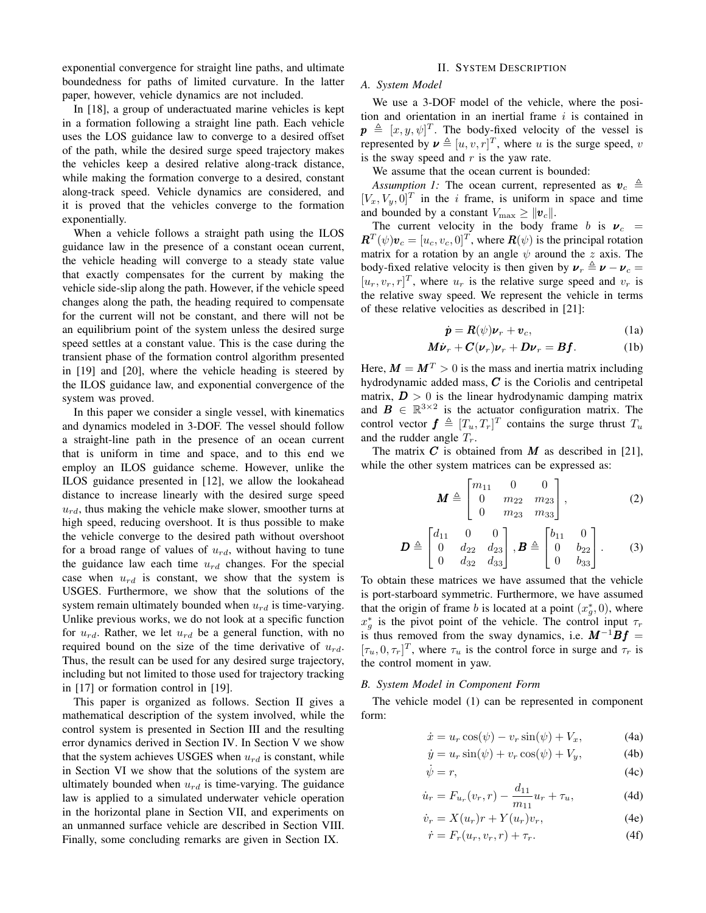exponential convergence for straight line paths, and ultimate boundedness for paths of limited curvature. In the latter paper, however, vehicle dynamics are not included.

In [18], a group of underactuated marine vehicles is kept in a formation following a straight line path. Each vehicle uses the LOS guidance law to converge to a desired offset of the path, while the desired surge speed trajectory makes the vehicles keep a desired relative along-track distance, while making the formation converge to a desired, constant along-track speed. Vehicle dynamics are considered, and it is proved that the vehicles converge to the formation exponentially.

When a vehicle follows a straight path using the ILOS guidance law in the presence of a constant ocean current, the vehicle heading will converge to a steady state value that exactly compensates for the current by making the vehicle side-slip along the path. However, if the vehicle speed changes along the path, the heading required to compensate for the current will not be constant, and there will not be an equilibrium point of the system unless the desired surge speed settles at a constant value. This is the case during the transient phase of the formation control algorithm presented in [19] and [20], where the vehicle heading is steered by the ILOS guidance law, and exponential convergence of the system was proved.

In this paper we consider a single vessel, with kinematics and dynamics modeled in 3-DOF. The vessel should follow a straight-line path in the presence of an ocean current that is uniform in time and space, and to this end we employ an ILOS guidance scheme. However, unlike the ILOS guidance presented in [12], we allow the lookahead distance to increase linearly with the desired surge speed  $u_{rd}$ , thus making the vehicle make slower, smoother turns at high speed, reducing overshoot. It is thus possible to make the vehicle converge to the desired path without overshoot for a broad range of values of  $u_{rd}$ , without having to tune the guidance law each time  $u_{rd}$  changes. For the special case when  $u_{rd}$  is constant, we show that the system is USGES. Furthermore, we show that the solutions of the system remain ultimately bounded when  $u_{rd}$  is time-varying. Unlike previous works, we do not look at a specific function for  $u_{rd}$ . Rather, we let  $u_{rd}$  be a general function, with no required bound on the size of the time derivative of  $u_{rd}$ . Thus, the result can be used for any desired surge trajectory, including but not limited to those used for trajectory tracking in [17] or formation control in [19].

This paper is organized as follows. Section II gives a mathematical description of the system involved, while the control system is presented in Section III and the resulting error dynamics derived in Section IV. In Section V we show that the system achieves USGES when  $u_{rd}$  is constant, while in Section VI we show that the solutions of the system are ultimately bounded when  $u_{rd}$  is time-varying. The guidance law is applied to a simulated underwater vehicle operation in the horizontal plane in Section VII, and experiments on an unmanned surface vehicle are described in Section VIII. Finally, some concluding remarks are given in Section IX.

#### II. SYSTEM DESCRIPTION

## *A. System Model*

We use a 3-DOF model of the vehicle, where the position and orientation in an inertial frame  $i$  is contained in  $\mathbf{p} \triangleq [x, y, \psi]^T$ . The body-fixed velocity of the vessel is represented by  $\mathbf{v} \triangleq [u, v, r]^T$ , where u is the surge speed, v is the sway speed and  $r$  is the yaw rate.

We assume that the ocean current is bounded:

*Assumption 1:* The ocean current, represented as  $v_c \triangleq$  $[V_x, V_y, 0]^T$  in the *i* frame, is uniform in space and time and bounded by a constant  $V_{\text{max}} \ge ||\boldsymbol{v}_c||$ .

The current velocity in the body frame b is  $v_c$  =  $\mathbf{R}^T(\psi)\mathbf{v}_c = [u_c, v_c, 0]^T$ , where  $\mathbf{R}(\psi)$  is the principal rotation matrix for a rotation by an angle  $\psi$  around the z axis. The body-fixed relative velocity is then given by  $v_r \triangleq v - v_c =$  $[u_r, v_r, r]^T$ , where  $u_r$  is the relative surge speed and  $v_r$  is the relative sway speed. We represent the vehicle in terms of these relative velocities as described in [21]:

$$
\dot{\mathbf{p}} = \mathbf{R}(\psi)\mathbf{\nu}_r + \mathbf{v}_c,\tag{1a}
$$

$$
\boldsymbol{M}\boldsymbol{\dot{\nu}}_{r} + \boldsymbol{C}(\boldsymbol{\nu}_{r})\boldsymbol{\nu}_{r} + \boldsymbol{D}\boldsymbol{\nu}_{r} = \boldsymbol{B}\boldsymbol{f}.
$$
 (1b)

Here,  $M = M<sup>T</sup> > 0$  is the mass and inertia matrix including hydrodynamic added mass,  $C$  is the Coriolis and centripetal matrix,  $D > 0$  is the linear hydrodynamic damping matrix and  $\mathbf{B} \in \mathbb{R}^{3 \times 2}$  is the actuator configuration matrix. The control vector  $\boldsymbol{f} \triangleq [T_u, T_r]^T$  contains the surge thrust  $T_u$ and the rudder angle  $T_r$ .

The matrix  $C$  is obtained from  $M$  as described in [21], while the other system matrices can be expressed as:

$$
\boldsymbol{M} \triangleq \begin{bmatrix} m_{11} & 0 & 0 \\ 0 & m_{22} & m_{23} \\ 0 & m_{23} & m_{33} \end{bmatrix}, \tag{2}
$$

$$
\boldsymbol{D} \triangleq \begin{bmatrix} d_{11} & 0 & 0 \\ 0 & d_{22} & d_{23} \\ 0 & d_{32} & d_{33} \end{bmatrix}, \boldsymbol{B} \triangleq \begin{bmatrix} b_{11} & 0 \\ 0 & b_{22} \\ 0 & b_{33} \end{bmatrix}. \tag{3}
$$

To obtain these matrices we have assumed that the vehicle is port-starboard symmetric. Furthermore, we have assumed that the origin of frame b is located at a point  $(x_g^*, 0)$ , where  $x_g^*$  is the pivot point of the vehicle. The control input  $\tau_r$ is thus removed from the sway dynamics, i.e.  $M^{-1}Bf =$  $[\tau_u, 0, \tau_r]^T$ , where  $\tau_u$  is the control force in surge and  $\tau_r$  is the control moment in yaw.

## *B. System Model in Component Form*

The vehicle model (1) can be represented in component form:

$$
\dot{x} = u_r \cos(\psi) - v_r \sin(\psi) + V_x, \tag{4a}
$$

$$
\dot{y} = u_r \sin(\psi) + v_r \cos(\psi) + V_y,\tag{4b}
$$

$$
\dot{\psi} = r,\tag{4c}
$$

$$
\dot{u}_r = F_{u_r}(v_r, r) - \frac{d_{11}}{m_{11}} u_r + \tau_u,
$$
\n(4d)

$$
\dot{v}_r = X(u_r)r + Y(u_r)v_r,\tag{4e}
$$

$$
\dot{r} = F_r(u_r, v_r, r) + \tau_r. \tag{4f}
$$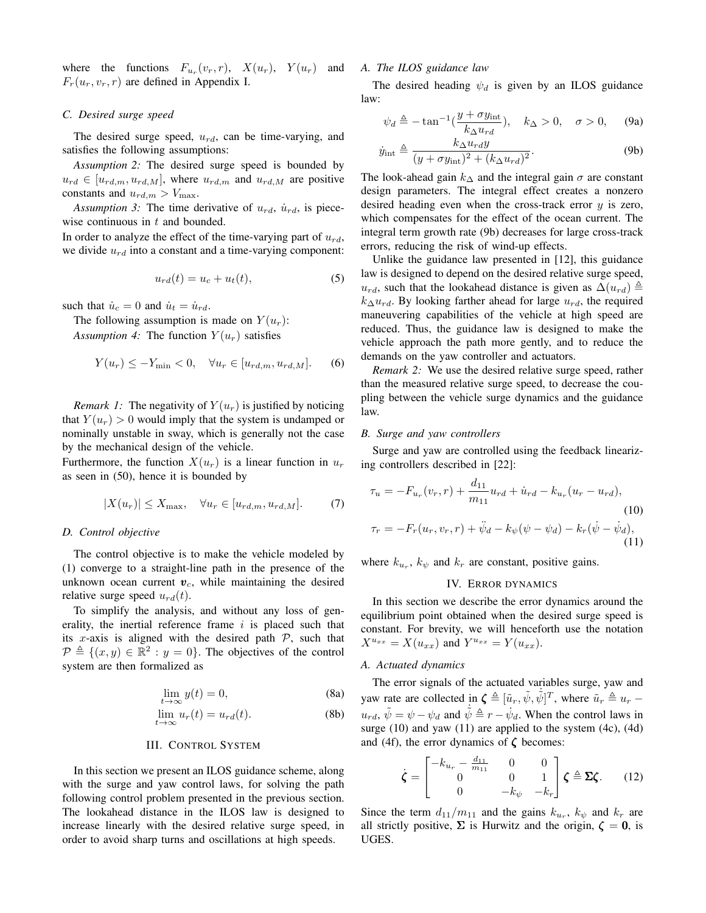where the functions  $F_{u_r}(v_r, r)$ ,  $X(u_r)$ ,  $Y(u_r)$  and  $F_r(u_r, v_r, r)$  are defined in Appendix I.

#### *C. Desired surge speed*

The desired surge speed,  $u_{rd}$ , can be time-varying, and satisfies the following assumptions:

*Assumption 2:* The desired surge speed is bounded by  $u_{rd} \in [u_{rd,m}, u_{rd,M}]$ , where  $u_{rd,m}$  and  $u_{rd,M}$  are positive constants and  $u_{rd,m} > V_{\text{max}}$ .

*Assumption 3:* The time derivative of  $u_{rd}$ ,  $\dot{u}_{rd}$ , is piecewise continuous in  $t$  and bounded.

In order to analyze the effect of the time-varying part of  $u_{rd}$ , we divide  $u_{rd}$  into a constant and a time-varying component:

$$
u_{rd}(t) = u_c + u_t(t),
$$
\n<sup>(5)</sup>

such that  $\dot{u}_c = 0$  and  $\dot{u}_t = \dot{u}_{rd}$ .

The following assumption is made on  $Y(u_r)$ :

*Assumption 4:* The function  $Y(u_r)$  satisfies

$$
Y(u_r) \le -Y_{\min} < 0, \quad \forall u_r \in [u_{rd,m}, u_{rd,M}]. \tag{6}
$$

*Remark 1:* The negativity of  $Y(u_r)$  is justified by noticing that  $Y(u_r) > 0$  would imply that the system is undamped or nominally unstable in sway, which is generally not the case by the mechanical design of the vehicle.

Furthermore, the function  $X(u_r)$  is a linear function in  $u_r$ as seen in (50), hence it is bounded by

$$
|X(u_r)| \le X_{\max}, \quad \forall u_r \in [u_{rd,m}, u_{rd,M}]. \tag{7}
$$

## *D. Control objective*

The control objective is to make the vehicle modeled by (1) converge to a straight-line path in the presence of the unknown ocean current  $v_c$ , while maintaining the desired relative surge speed  $u_{rd}(t)$ .

To simplify the analysis, and without any loss of generality, the inertial reference frame  $i$  is placed such that its x-axis is aligned with the desired path  $P$ , such that  $\mathcal{P} \triangleq \{ (x, y) \in \mathbb{R}^2 : y = 0 \}.$  The objectives of the control system are then formalized as

$$
\lim_{t \to \infty} y(t) = 0,\tag{8a}
$$

$$
\lim_{t \to \infty} u_r(t) = u_{rd}(t). \tag{8b}
$$

#### III. CONTROL SYSTEM

In this section we present an ILOS guidance scheme, along with the surge and yaw control laws, for solving the path following control problem presented in the previous section. The lookahead distance in the ILOS law is designed to increase linearly with the desired relative surge speed, in order to avoid sharp turns and oscillations at high speeds.

## *A. The ILOS guidance law*

The desired heading  $\psi_d$  is given by an ILOS guidance law:

$$
\psi_d \triangleq -\tan^{-1}\left(\frac{y + \sigma y_{\rm int}}{k_{\Delta} u_{rd}}\right), \quad k_{\Delta} > 0, \quad \sigma > 0, \quad (9a)
$$

$$
\dot{y}_{int} \triangleq \frac{k_{\Delta}u_{rd}y}{(y + \sigma y_{int})^2 + (k_{\Delta}u_{rd})^2}.
$$
 (9b)

The look-ahead gain  $k_{\Delta}$  and the integral gain  $\sigma$  are constant design parameters. The integral effect creates a nonzero desired heading even when the cross-track error  $y$  is zero, which compensates for the effect of the ocean current. The integral term growth rate (9b) decreases for large cross-track errors, reducing the risk of wind-up effects.

Unlike the guidance law presented in [12], this guidance law is designed to depend on the desired relative surge speed,  $u_{rd}$ , such that the lookahead distance is given as  $\Delta(u_{rd}) \triangleq$  $k_{\Delta}u_{rd}$ . By looking farther ahead for large  $u_{rd}$ , the required maneuvering capabilities of the vehicle at high speed are reduced. Thus, the guidance law is designed to make the vehicle approach the path more gently, and to reduce the demands on the yaw controller and actuators.

*Remark 2:* We use the desired relative surge speed, rather than the measured relative surge speed, to decrease the coupling between the vehicle surge dynamics and the guidance law.

#### *B. Surge and yaw controllers*

Surge and yaw are controlled using the feedback linearizing controllers described in [22]:

$$
\tau_u = -F_{u_r}(v_r, r) + \frac{d_{11}}{m_{11}} u_{rd} + \dot{u}_{rd} - k_{u_r}(u_r - u_{rd}),
$$
\n(10)  
\n
$$
\tau_r = -F_r(u_r, v_r, r) + \ddot{\psi}_d - k_{\psi}(\psi - \psi_d) - k_r(\dot{\psi} - \dot{\psi}_d),
$$
\n(11)

where  $k_{u_r}$ ,  $k_{\psi}$  and  $k_r$  are constant, positive gains.

## IV. ERROR DYNAMICS

In this section we describe the error dynamics around the equilibrium point obtained when the desired surge speed is constant. For brevity, we will henceforth use the notation  $X^{u_{xx}} = X(u_{xx})$  and  $Y^{u_{xx}} = Y(u_{xx})$ .

## *A. Actuated dynamics*

The error signals of the actuated variables surge, yaw and yaw rate are collected in  $\boldsymbol{\zeta} \triangleq [\tilde{u}_r, \tilde{\psi}, \dot{\tilde{\psi}}]^T$ , where  $\tilde{u}_r \triangleq u_r - \tilde{u}_r$  $u_{rd}$ ,  $\tilde{\psi} = \psi - \psi_d$  and  $\dot{\tilde{\psi}} \triangleq r - \psi_d$ . When the control laws in surge (10) and yaw (11) are applied to the system (4c), (4d) and (4f), the error dynamics of  $\zeta$  becomes:

$$
\dot{\zeta} = \begin{bmatrix} -k_{u_r} - \frac{d_{11}}{m_{11}} & 0 & 0\\ 0 & 0 & 1\\ 0 & -k_{\psi} & -k_r \end{bmatrix} \zeta \triangleq \Sigma \zeta. \qquad (12)
$$

Since the term  $d_{11}/m_{11}$  and the gains  $k_{u_r}$ ,  $k_{\psi}$  and  $k_r$  are all strictly positive,  $\Sigma$  is Hurwitz and the origin,  $\zeta = 0$ , is UGES.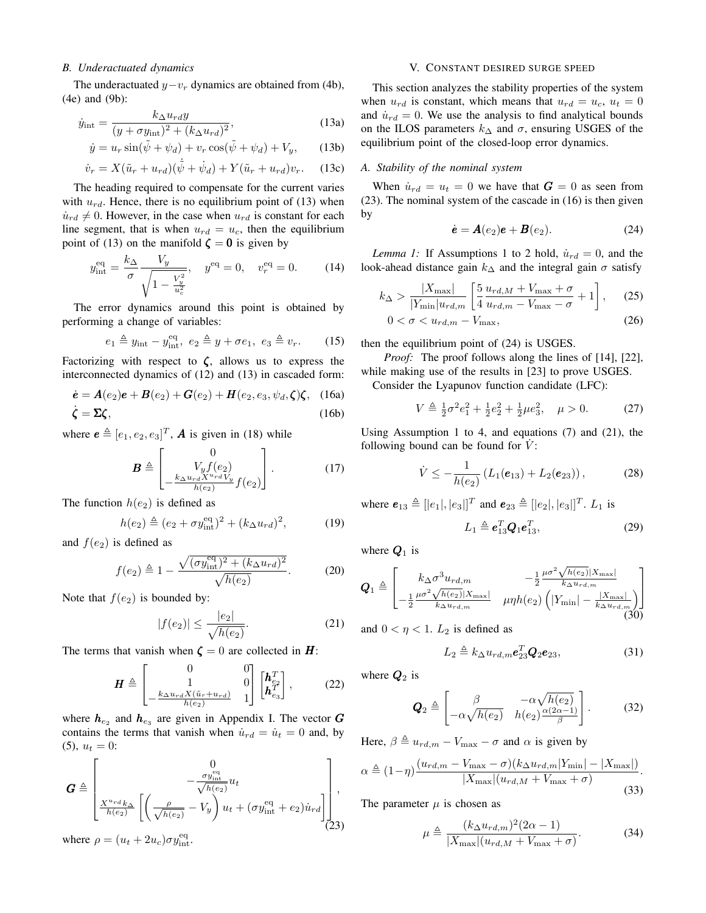## *B. Underactuated dynamics*

The underactuated  $y-v_r$  dynamics are obtained from (4b), (4e) and (9b):

$$
\dot{y}_{\text{int}} = \frac{k_{\Delta}u_{rd}y}{(y + \sigma y_{\text{int}})^2 + (k_{\Delta}u_{rd})^2},\tag{13a}
$$

$$
\dot{y} = u_r \sin(\tilde{\psi} + \psi_d) + v_r \cos(\tilde{\psi} + \psi_d) + V_y, \qquad (13b)
$$

$$
\dot{v}_r = X(\tilde{u}_r + u_{rd})(\dot{\tilde{\psi}} + \dot{\psi}_d) + Y(\tilde{u}_r + u_{rd})v_r.
$$
 (13c)

The heading required to compensate for the current varies with  $u_{rd}$ . Hence, there is no equilibrium point of (13) when  $\dot{u}_{rd} \neq 0$ . However, in the case when  $u_{rd}$  is constant for each line segment, that is when  $u_{rd} = u_c$ , then the equilibrium point of (13) on the manifold  $\zeta = 0$  is given by

$$
y_{\text{int}}^{\text{eq}} = \frac{k_{\Delta}}{\sigma} \frac{V_y}{\sqrt{1 - \frac{V_y^2}{u_c^2}}}, \quad y^{\text{eq}} = 0, \quad v_r^{\text{eq}} = 0. \tag{14}
$$

The error dynamics around this point is obtained by performing a change of variables:

$$
e_1 \triangleq y_{\rm int} - y_{\rm int}^{\rm eq}, \ e_2 \triangleq y + \sigma e_1, \ e_3 \triangleq v_r. \qquad (15)
$$

Factorizing with respect to  $\zeta$ , allows us to express the interconnected dynamics of (12) and (13) in cascaded form:

$$
\dot{\mathbf{e}} = \mathbf{A}(e_2)\mathbf{e} + \mathbf{B}(e_2) + \mathbf{G}(e_2) + \mathbf{H}(e_2, e_3, \psi_d, \zeta)\zeta, \quad (16a)
$$
  

$$
\dot{\zeta} = \Sigma\zeta, \quad (16b)
$$

where  $\mathbf{e} \triangleq [e_1, e_2, e_3]^T$ , **A** is given in (18) while

$$
\boldsymbol{B} \triangleq \begin{bmatrix} 0 \\ V_y f(e_2) \\ -\frac{k_{\Delta} u_{rd} X^{u_{rd}} V_y}{h(e_2)} f(e_2) \end{bmatrix} . \tag{17}
$$

The function  $h(e_2)$  is defined as

$$
h(e_2) \triangleq (e_2 + \sigma y_{\rm int}^{\rm eq})^2 + (k_{\Delta} u_{rd})^2, \tag{19}
$$

and  $f(e_2)$  is defined as

$$
f(e_2) \triangleq 1 - \frac{\sqrt{(\sigma y_{\text{int}}^{\text{eq}})^2 + (k_{\Delta} u_{rd})^2}}{\sqrt{h(e_2)}}.
$$
 (20)

Note that  $f(e_2)$  is bounded by:

$$
|f(e_2)| \le \frac{|e_2|}{\sqrt{h(e_2)}}.\t(21)
$$

The terms that vanish when  $\zeta = 0$  are collected in **H**:

$$
\boldsymbol{H} \triangleq \begin{bmatrix} 0 & 0 \\ 1 & 0 \\ -\frac{k_{\Delta}u_{rd}X(\tilde{u}_{r}+u_{rd})}{h(e_2)} & 1 \end{bmatrix} \begin{bmatrix} \boldsymbol{h}_{e_2}^T \\ \boldsymbol{h}_{e_3}^T \end{bmatrix},
$$
(22)

where  $h_{e_2}$  and  $h_{e_3}$  are given in Appendix I. The vector  $G$ contains the terms that vanish when  $\dot{u}_{rd} = \dot{u}_t = 0$  and, by  $(5), u_t = 0:$ 

$$
\boldsymbol{G} \triangleq \begin{bmatrix} 0 \\ -\frac{\sigma y_{\text{int}}^{\text{eq}}}{\sqrt{h(e_2)}} u_t \\ \frac{X^{u_{rd}} k_{\Delta}}{h(e_2)} \left[ \left( \frac{\rho}{\sqrt{h(e_2)}} - V_y \right) u_t + (\sigma y_{\text{int}}^{\text{eq}} + e_2) u_{rd} \right] \right],
$$

where  $\rho = (u_t + 2u_c)\sigma y_{\text{int}}^{\text{eq}}$ .

#### V. CONSTANT DESIRED SURGE SPEED

This section analyzes the stability properties of the system when  $u_{rd}$  is constant, which means that  $u_{rd} = u_c$ ,  $u_t = 0$ and  $\dot{u}_{rd} = 0$ . We use the analysis to find analytical bounds on the ILOS parameters  $k_{\Delta}$  and  $\sigma$ , ensuring USGES of the equilibrium point of the closed-loop error dynamics.

#### *A. Stability of the nominal system*

When  $\dot{u}_{rd} = u_t = 0$  we have that  $G = 0$  as seen from (23). The nominal system of the cascade in (16) is then given by

$$
\dot{\mathbf{e}} = \mathbf{A}(e_2)\mathbf{e} + \mathbf{B}(e_2). \tag{24}
$$

*Lemma 1:* If Assumptions 1 to 2 hold,  $\dot{u}_{rd} = 0$ , and the look-ahead distance gain  $k_{\Delta}$  and the integral gain  $\sigma$  satisfy

$$
k_{\Delta} > \frac{|X_{\max}|}{|Y_{\min}| u_{rd,m}} \left[ \frac{5}{4} \frac{u_{rd,M} + V_{\max} + \sigma}{u_{rd,m} - V_{\max} - \sigma} + 1 \right],
$$
 (25)

$$
0 < \sigma < u_{rd,m} - V_{\text{max}},\tag{26}
$$

then the equilibrium point of (24) is USGES.

*Proof:* The proof follows along the lines of [14], [22], while making use of the results in [23] to prove USGES.

Consider the Lyapunov function candidate (LFC):

$$
V \triangleq \frac{1}{2}\sigma^2 e_1^2 + \frac{1}{2}e_2^2 + \frac{1}{2}\mu e_3^2, \quad \mu > 0.
$$
 (27)

Using Assumption 1 to 4, and equations (7) and (21), the following bound can be found for  $\dot{V}$ :

$$
\dot{V} \leq -\frac{1}{h(e_2)} \left( L_1(e_{13}) + L_2(e_{23}) \right), \tag{28}
$$

where  $e_{13} \triangleq [e_1], [e_3]]^T$  and  $e_{23} \triangleq [e_2], [e_3]]^T$ .  $L_1$  is

$$
L_1 \triangleq \boldsymbol{e}_{13}^T \boldsymbol{Q}_1 \boldsymbol{e}_{13}^T,\tag{29}
$$

where  $Q_1$  is

$$
Q_1 \triangleq \begin{bmatrix} k_{\Delta} \sigma^3 u_{rd,m} & -\frac{1}{2} \frac{\mu \sigma^2 \sqrt{h(e_2)} |X_{\max}|}{k_{\Delta} u_{rd,m}} \\ -\frac{1}{2} \frac{\mu \sigma^2 \sqrt{h(e_2)} |X_{\max}|}{k_{\Delta} u_{rd,m}} & \mu \eta h(e_2) \left( |Y_{\min}| - \frac{|X_{\max}|}{k_{\Delta} u_{rd,m}} \right) \end{bmatrix}
$$
(30)

and  $0 < \eta < 1$ .  $L_2$  is defined as

$$
L_2 \triangleq k_{\Delta} u_{rd,m} \boldsymbol{e}_{23}^T \boldsymbol{Q}_2 \boldsymbol{e}_{23},\tag{31}
$$

where  $Q_2$  is

$$
\mathbf{Q}_2 \triangleq \begin{bmatrix} \beta & -\alpha \sqrt{h(e_2)} \\ -\alpha \sqrt{h(e_2)} & h(e_2) \frac{\alpha (2\alpha - 1)}{\beta} \end{bmatrix} . \tag{32}
$$

Here,  $\beta \triangleq u_{rd,m} - V_{\text{max}} - \sigma$  and  $\alpha$  is given by

$$
\alpha \triangleq (1-\eta) \frac{(u_{rd,m} - V_{\text{max}} - \sigma)(k_{\Delta}u_{rd,m}|Y_{\text{min}}| - |X_{\text{max}}|)}{|X_{\text{max}}|(u_{rd,M} + V_{\text{max}} + \sigma)}.
$$
\n(33)

The parameter  $\mu$  is chosen as

$$
\mu \triangleq \frac{(k_{\Delta}u_{rd,m})^2(2\alpha - 1)}{|X_{\text{max}}|(u_{rd,M} + V_{\text{max}} + \sigma)}.
$$
\n(34)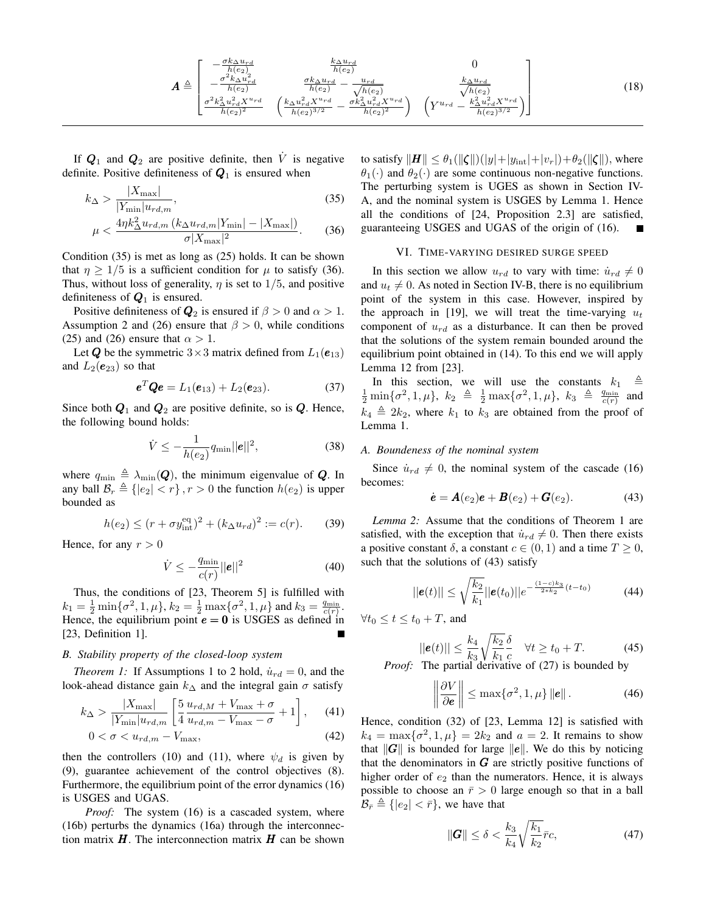$$
A \triangleq \begin{bmatrix} -\frac{\sigma k_{\Delta} u_{rd}}{h(e_2)} & \frac{k_{\Delta} u_{rd}}{h(e_2)} & 0\\ -\frac{\sigma^2 k_{\Delta} u_{rd}^2}{h(e_2)} & \frac{\sigma k_{\Delta} u_{rd}}{h(e_2)} - \frac{u_{rd}}{\sqrt{h(e_2)}} & \frac{k_{\Delta} u_{rd}}{\sqrt{h(e_2)}}\\ \frac{\sigma^2 k_{\Delta}^2 u_{rd}^2 X^{u_{rd}}}{h(e_2)^2} & \left(\frac{k_{\Delta} u_{rd}^2 X^{u_{rd}}}{h(e_2)^{3/2}} - \frac{\sigma k_{\Delta}^2 u_{rd}^2 X^{u_{rd}}}{h(e_2)^2}\right) & \left(Y^{u_{rd}} - \frac{k_{\Delta}^2 u_{rd}^2 X^{u_{rd}}}{h(e_2)^{3/2}}\right) \end{bmatrix}
$$
(18)

If  $Q_1$  and  $Q_2$  are positive definite, then  $\dot{V}$  is negative definite. Positive definiteness of  $Q_1$  is ensured when

$$
k_{\Delta} > \frac{|X_{\max}|}{|Y_{\min}|u_{rd,m}},\tag{35}
$$

$$
\mu < \frac{4\eta k_{\Delta}^2 u_{rd,m} \left( k_{\Delta} u_{rd,m} |Y_{\min}| - |X_{\max}| \right)}{\sigma |X_{\max}|^2}.
$$
\n(36)

Condition (35) is met as long as (25) holds. It can be shown that  $\eta \geq 1/5$  is a sufficient condition for  $\mu$  to satisfy (36). Thus, without loss of generality,  $\eta$  is set to 1/5, and positive definiteness of  $Q_1$  is ensured.

Positive definiteness of  $Q_2$  is ensured if  $\beta > 0$  and  $\alpha > 1$ . Assumption 2 and (26) ensure that  $\beta > 0$ , while conditions (25) and (26) ensure that  $\alpha > 1$ .

Let Q be the symmetric  $3 \times 3$  matrix defined from  $L_1(e_{13})$ and  $L_2(e_{23})$  so that

$$
\boldsymbol{e}^T \boldsymbol{Q} \boldsymbol{e} = L_1(\boldsymbol{e}_{13}) + L_2(\boldsymbol{e}_{23}). \tag{37}
$$

Since both  $Q_1$  and  $Q_2$  are positive definite, so is  $Q$ . Hence, the following bound holds:

$$
\dot{V} \le -\frac{1}{h(e_2)} q_{\min} ||\mathbf{e}||^2, \tag{38}
$$

where  $q_{\min} \triangleq \lambda_{\min}(Q)$ , the minimum eigenvalue of Q. In any ball  $\mathcal{B}_r \triangleq \{ |e_2| < r \}, r > 0$  the function  $h(e_2)$  is upper bounded as

$$
h(e_2) \le (r + \sigma y_{\text{int}}^{\text{eq}})^2 + (k_{\Delta} u_{rd})^2 := c(r). \tag{39}
$$

Hence, for any  $r > 0$ 

$$
\dot{V} \le -\frac{q_{\min}}{c(r)} ||\boldsymbol{e}||^2 \tag{40}
$$

Thus, the conditions of [23, Theorem 5] is fulfilled with  $k_1 = \frac{1}{2} \min\{\sigma^2, 1, \mu\}, k_2 = \frac{1}{2} \max\{\sigma^2, 1, \mu\}$  and  $k_3 = \frac{q_{\min}}{c(r)}$ . Hence, the equilibrium point  $e = 0$  is USGES as defined in [23, Definition 1].

## *B. Stability property of the closed-loop system*

*Theorem 1:* If Assumptions 1 to 2 hold,  $\dot{u}_{rd} = 0$ , and the look-ahead distance gain  $k_{\Delta}$  and the integral gain  $\sigma$  satisfy

$$
k_{\Delta} > \frac{|X_{\max}|}{|Y_{\min}| u_{rd,m}} \left[ \frac{5}{4} \frac{u_{rd,M} + V_{\max} + \sigma}{u_{rd,m} - V_{\max} - \sigma} + 1 \right], \quad (41)
$$

$$
0 < \sigma < u_{rd,m} - V_{\text{max}},\tag{42}
$$

then the controllers (10) and (11), where  $\psi_d$  is given by (9), guarantee achievement of the control objectives (8). Furthermore, the equilibrium point of the error dynamics (16) is USGES and UGAS.

*Proof:* The system (16) is a cascaded system, where (16b) perturbs the dynamics (16a) through the interconnection matrix  $H$ . The interconnection matrix  $H$  can be shown to satisfy  $\|\mathbf{H}\| \leq \theta_1(\|\boldsymbol{\zeta}\|)(|y|+|y_{\text{int}}|+|v_r|)+\theta_2(\|\boldsymbol{\zeta}\|)$ , where  $\theta_1(\cdot)$  and  $\theta_2(\cdot)$  are some continuous non-negative functions. The perturbing system is UGES as shown in Section IV-A, and the nominal system is USGES by Lemma 1. Hence all the conditions of [24, Proposition 2.3] are satisfied, guaranteeing USGES and UGAS of the origin of (16).

#### VI. TIME-VARYING DESIRED SURGE SPEED

In this section we allow  $u_{rd}$  to vary with time:  $\dot{u}_{rd} \neq 0$ and  $u_t \neq 0$ . As noted in Section IV-B, there is no equilibrium point of the system in this case. However, inspired by the approach in [19], we will treat the time-varying  $u_t$ component of  $u_{rd}$  as a disturbance. It can then be proved that the solutions of the system remain bounded around the equilibrium point obtained in (14). To this end we will apply Lemma 12 from [23].

In this section, we will use the constants  $k_1 \triangleq$  $\frac{1}{2} \min\{\sigma^2, 1, \mu\}, k_2 \triangleq \frac{1}{2} \max\{\sigma^2, 1, \mu\}, k_3 \triangleq \frac{q_{\min}}{c(r)}$  and  $k_4 \triangleq 2k_2$ , where  $k_1$  to  $k_3$  are obtained from the proof of Lemma 1.

### *A. Boundeness of the nominal system*

Since  $\dot{u}_{rd} \neq 0$ , the nominal system of the cascade (16) becomes:

$$
\dot{\mathbf{e}} = \mathbf{A}(e_2)\mathbf{e} + \mathbf{B}(e_2) + \mathbf{G}(e_2). \tag{43}
$$

*Lemma 2:* Assume that the conditions of Theorem 1 are satisfied, with the exception that  $\dot{u}_{rd} \neq 0$ . Then there exists a positive constant  $\delta$ , a constant  $c \in (0, 1)$  and a time  $T \geq 0$ , such that the solutions of (43) satisfy

$$
||\mathbf{e}(t)|| \le \sqrt{\frac{k_2}{k_1}} ||\mathbf{e}(t_0)||e^{-\frac{(1-c)k_3}{2*k_2}(t-t_0)}
$$
(44)

 $\forall t_0 \leq t \leq t_0 + T$ , and

$$
||\mathbf{e}(t)|| \le \frac{k_4}{k_3} \sqrt{\frac{k_2}{k_1}} \frac{\delta}{c} \quad \forall t \ge t_0 + T. \tag{45}
$$
  
The partial derivative of (27) is bounded by

*Proof:* The partial derivative of (27) is bounded by

$$
\left\|\frac{\partial V}{\partial \mathbf{e}}\right\| \le \max\{\sigma^2, 1, \mu\} \|\mathbf{e}\|.
$$
 (46)

Hence, condition (32) of [23, Lemma 12] is satisfied with  $k_4 = \max\{\sigma^2, 1, \mu\} = 2k_2$  and  $a = 2$ . It remains to show that  $\|G\|$  is bounded for large  $\|e\|$ . We do this by noticing that the denominators in  $G$  are strictly positive functions of higher order of  $e_2$  than the numerators. Hence, it is always possible to choose an  $\bar{r} > 0$  large enough so that in a ball  $\mathcal{B}_{\bar{r}} \triangleq \{ |e_2| < \bar{r} \}$ , we have that

$$
\|\boldsymbol{G}\| \le \delta < \frac{k_3}{k_4} \sqrt{\frac{k_1}{k_2}} \bar{r} c,\tag{47}
$$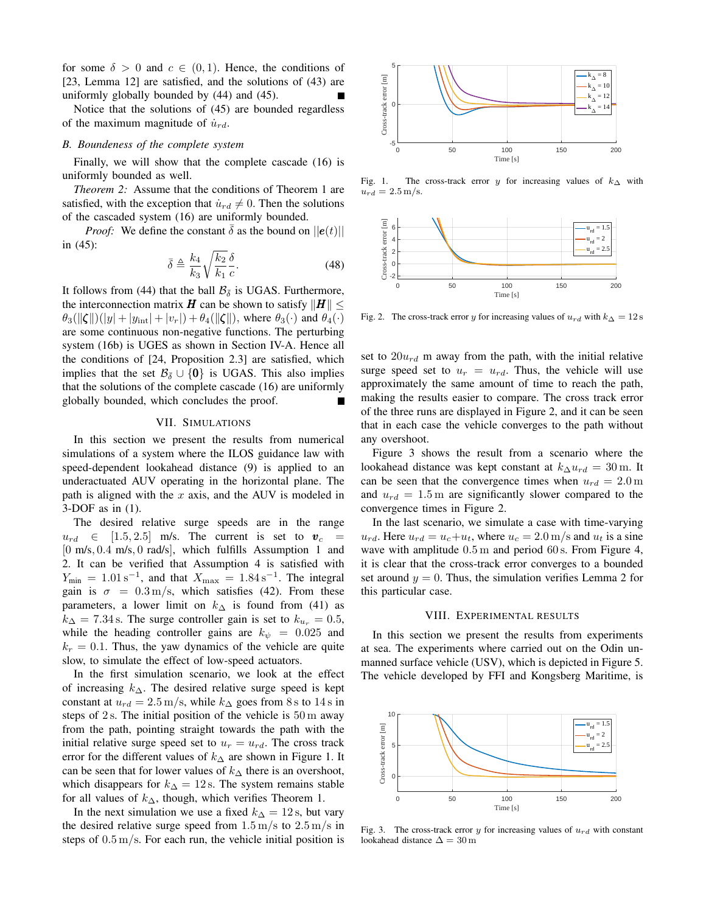for some  $\delta > 0$  and  $c \in (0,1)$ . Hence, the conditions of [23, Lemma 12] are satisfied, and the solutions of (43) are uniformly globally bounded by (44) and (45).

Notice that the solutions of (45) are bounded regardless of the maximum magnitude of  $\dot{u}_{rd}$ .

#### *B. Boundeness of the complete system*

Finally, we will show that the complete cascade (16) is uniformly bounded as well.

*Theorem 2:* Assume that the conditions of Theorem 1 are satisfied, with the exception that  $\dot{u}_{rd} \neq 0$ . Then the solutions of the cascaded system (16) are uniformly bounded.

*Proof:* We define the constant  $\delta$  as the bound on  $||e(t)||$ in (45):

$$
\bar{\delta} \triangleq \frac{k_4}{k_3} \sqrt{\frac{k_2}{k_1}} \frac{\delta}{c}.
$$
\n(48)

It follows from (44) that the ball  $\mathcal{B}_{\bar{\delta}}$  is UGAS. Furthermore, the interconnection matrix H can be shown to satisfy  $||H|| \le$  $\theta_3(||\zeta||)(|y| + |y_{int}| + |v_r|) + \theta_4(||\zeta||)$ , where  $\theta_3(\cdot)$  and  $\theta_4(\cdot)$ are some continuous non-negative functions. The perturbing system (16b) is UGES as shown in Section IV-A. Hence all the conditions of [24, Proposition 2.3] are satisfied, which implies that the set  $\mathcal{B}_{\bar{\delta}} \cup \{0\}$  is UGAS. This also implies that the solutions of the complete cascade (16) are uniformly globally bounded, which concludes the proof.

#### VII. SIMULATIONS

In this section we present the results from numerical simulations of a system where the ILOS guidance law with speed-dependent lookahead distance (9) is applied to an underactuated AUV operating in the horizontal plane. The path is aligned with the  $x$  axis, and the AUV is modeled in 3-DOF as in (1).

The desired relative surge speeds are in the range  $u_{rd} \in [1.5, 2.5]$  m/s. The current is set to  $v_c$ [0 m/s, 0.4 m/s, 0 rad/s], which fulfills Assumption 1 and 2. It can be verified that Assumption 4 is satisfied with  $Y_{\text{min}} = 1.01 \,\mathrm{s}^{-1}$ , and that  $X_{\text{max}} = 1.84 \,\mathrm{s}^{-1}$ . The integral gain is  $\sigma = 0.3 \text{ m/s}$ , which satisfies (42). From these parameters, a lower limit on  $k_{\Delta}$  is found from (41) as  $k_{\Delta} = 7.34$  s. The surge controller gain is set to  $k_{u_r} = 0.5$ , while the heading controller gains are  $k_{\psi} = 0.025$  and  $k_r = 0.1$ . Thus, the yaw dynamics of the vehicle are quite slow, to simulate the effect of low-speed actuators.

In the first simulation scenario, we look at the effect of increasing  $k_{\Delta}$ . The desired relative surge speed is kept constant at  $u_{rd} = 2.5 \,\mathrm{m/s}$ , while  $k_{\Delta}$  goes from 8 s to 14 s in steps of 2 s. The initial position of the vehicle is 50 m away from the path, pointing straight towards the path with the initial relative surge speed set to  $u_r = u_{rd}$ . The cross track error for the different values of  $k_{\Delta}$  are shown in Figure 1. It can be seen that for lower values of  $k_{\Delta}$  there is an overshoot, which disappears for  $k_{\Delta} = 12$  s. The system remains stable for all values of  $k_{\Delta}$ , though, which verifies Theorem 1.

In the next simulation we use a fixed  $k_{\Delta} = 12$  s, but vary the desired relative surge speed from  $1.5 \,\mathrm{m/s}$  to  $2.5 \,\mathrm{m/s}$  in steps of  $0.5 \,\mathrm{m/s}$ . For each run, the vehicle initial position is



Fig. 1. The cross-track error y for increasing values of  $k_{\Delta}$  with  $u_{rd} = 2.5 \,\mathrm{m/s}.$ 



Fig. 2. The cross-track error y for increasing values of  $u_{rd}$  with  $k_{\Delta} = 12$  s

set to  $20u_{rd}$  m away from the path, with the initial relative surge speed set to  $u_r = u_{rd}$ . Thus, the vehicle will use approximately the same amount of time to reach the path, making the results easier to compare. The cross track error of the three runs are displayed in Figure 2, and it can be seen that in each case the vehicle converges to the path without any overshoot.

Figure 3 shows the result from a scenario where the lookahead distance was kept constant at  $k_{\Delta} u_{rd} = 30$  m. It can be seen that the convergence times when  $u_{rd} = 2.0 \,\text{m}$ and  $u_{rd} = 1.5$  m are significantly slower compared to the convergence times in Figure 2.

In the last scenario, we simulate a case with time-varying  $u_{rd}$ . Here  $u_{rd} = u_c + u_t$ , where  $u_c = 2.0$  m/s and  $u_t$  is a sine wave with amplitude  $0.5 \text{ m}$  and period  $60 \text{ s}$ . From Figure 4, it is clear that the cross-track error converges to a bounded set around  $y = 0$ . Thus, the simulation verifies Lemma 2 for this particular case.

### VIII. EXPERIMENTAL RESULTS

In this section we present the results from experiments at sea. The experiments where carried out on the Odin unmanned surface vehicle (USV), which is depicted in Figure 5. The vehicle developed by FFI and Kongsberg Maritime, is



Fig. 3. The cross-track error  $y$  for increasing values of  $u_{rd}$  with constant lookahead distance  $\Delta = 30 \,\text{m}$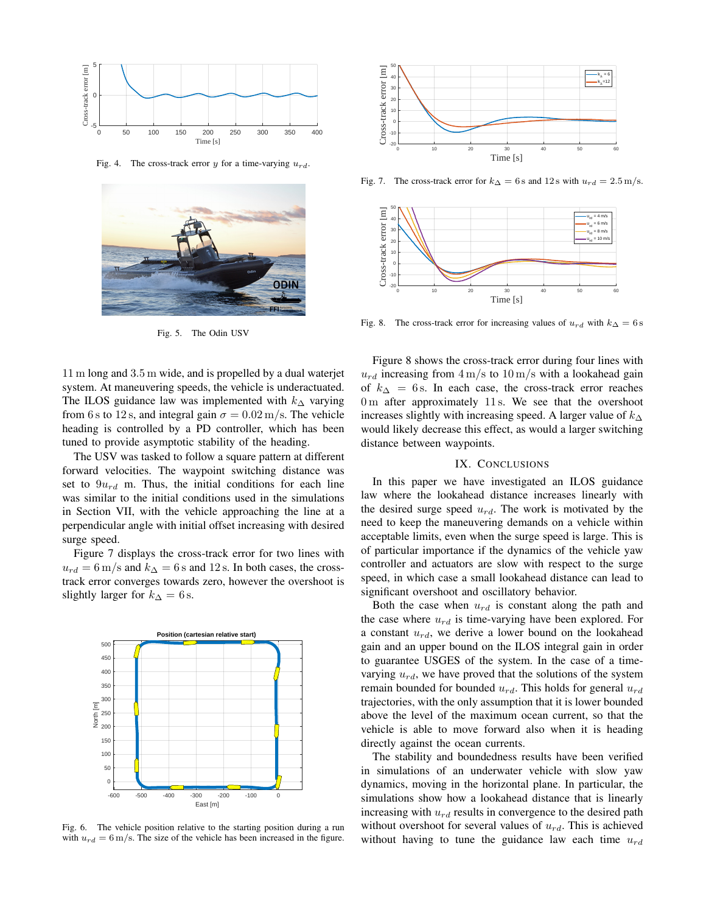

Fig. 4. The cross-track error y for a time-varying  $u_{rd}$ .



Fig. 5. The Odin USV

11 m long and 3.5 m wide, and is propelled by a dual waterjet system. At maneuvering speeds, the vehicle is underactuated. The ILOS guidance law was implemented with  $k<sub>∆</sub>$  varying from 6 s to 12 s, and integral gain  $\sigma = 0.02 \,\mathrm{m/s}$ . The vehicle heading is controlled by a PD controller, which has been tuned to provide asymptotic stability of the heading.

The USV was tasked to follow a square pattern at different forward velocities. The waypoint switching distance was set to  $9u_{rd}$  m. Thus, the initial conditions for each line was similar to the initial conditions used in the simulations in Section VII, with the vehicle approaching the line at a perpendicular angle with initial offset increasing with desired surge speed.

Figure 7 displays the cross-track error for two lines with  $u_{rd} = 6 \,\mathrm{m/s}$  and  $k_{\Delta} = 6 \,\mathrm{s}$  and 12 s. In both cases, the crosstrack error converges towards zero, however the overshoot is slightly larger for  $k_{\Delta} = 6$  s.



Fig. 6. The vehicle position relative to the starting position during a run with  $u_{rd} = 6$  m/s. The size of the vehicle has been increased in the figure.



Fig. 7. The cross-track error for  $k_{\Delta} = 6$  s and 12 s with  $u_{rd} = 2.5$  m/s.



Fig. 8. The cross-track error for increasing values of  $u_{rd}$  with  $k_{\Delta} = 6$  s

Figure 8 shows the cross-track error during four lines with  $u_{rd}$  increasing from  $4 \text{ m/s}$  to  $10 \text{ m/s}$  with a lookahead gain of  $k_{\Delta} = 6$  s. In each case, the cross-track error reaches 0 m after approximately 11 s. We see that the overshoot increases slightly with increasing speed. A larger value of  $k_{\Delta}$ would likely decrease this effect, as would a larger switching distance between waypoints.

## IX. CONCLUSIONS

In this paper we have investigated an ILOS guidance law where the lookahead distance increases linearly with the desired surge speed  $u_{rd}$ . The work is motivated by the need to keep the maneuvering demands on a vehicle within acceptable limits, even when the surge speed is large. This is of particular importance if the dynamics of the vehicle yaw controller and actuators are slow with respect to the surge speed, in which case a small lookahead distance can lead to significant overshoot and oscillatory behavior.

Both the case when  $u_{rd}$  is constant along the path and the case where  $u_{rd}$  is time-varying have been explored. For a constant  $u_{rd}$ , we derive a lower bound on the lookahead gain and an upper bound on the ILOS integral gain in order to guarantee USGES of the system. In the case of a timevarying  $u_{rd}$ , we have proved that the solutions of the system remain bounded for bounded  $u_{rd}$ . This holds for general  $u_{rd}$ trajectories, with the only assumption that it is lower bounded above the level of the maximum ocean current, so that the vehicle is able to move forward also when it is heading directly against the ocean currents.

The stability and boundedness results have been verified in simulations of an underwater vehicle with slow yaw dynamics, moving in the horizontal plane. In particular, the simulations show how a lookahead distance that is linearly increasing with  $u_{rd}$  results in convergence to the desired path without overshoot for several values of  $u_{rd}$ . This is achieved without having to tune the guidance law each time  $u_{rd}$